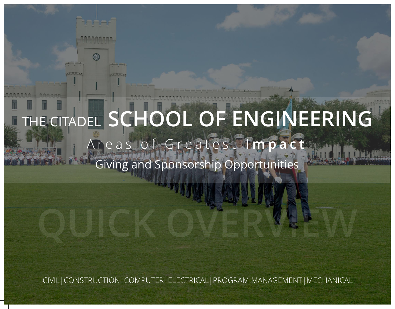# THE CITADEL **SCHOOL OF ENGINEERING** A r e a s o f G r e a t e s t Impact Giving and Sponsorship Opportunities

CIVIL|CONSTRUCTION|COMPUTER|ELECTRICAL|PROGRAM MANAGEMENT|MECHANICAL